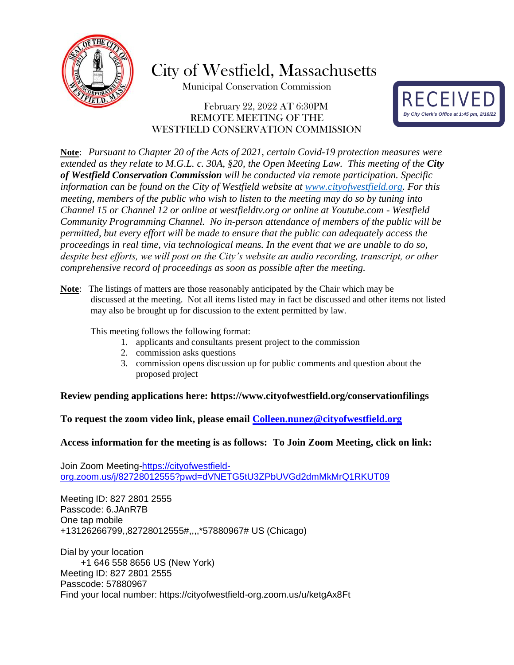

City of Westfield, Massachusetts

Municipal Conservation Commission

### February 22, 2022 AT 6:30PM REMOTE MEETING OF THE WESTFIELD CONSERVATION COMMISSION



**Note**: *Pursuant to Chapter 20 of the Acts of 2021, certain Covid-19 protection measures were extended as they relate to M.G.L. c. 30A, §20, the Open Meeting Law. This meeting of the City of Westfield Conservation Commission will be conducted via remote participation. Specific information can be found on the City of Westfield website at [www.cityofwestfield.org.](http://www.cityofwestfield.org/) For this meeting, members of the public who wish to listen to the meeting may do so by tuning into Channel 15 or Channel 12 or online at westfieldtv.org or online at Youtube.com - Westfield Community Programming Channel. No in-person attendance of members of the public will be permitted, but every effort will be made to ensure that the public can adequately access the proceedings in real time, via technological means. In the event that we are unable to do so, despite best efforts, we will post on the City's website an audio recording, transcript, or other comprehensive record of proceedings as soon as possible after the meeting.*

**Note**: The listings of matters are those reasonably anticipated by the Chair which may be discussed at the meeting. Not all items listed may in fact be discussed and other items not listed may also be brought up for discussion to the extent permitted by law.

This meeting follows the following format:

- 1. applicants and consultants present project to the commission
- 2. commission asks questions
- 3. commission opens discussion up for public comments and question about the proposed project

#### **Review pending applications here:<https://www.cityofwestfield.org/conservationfilings>**

**To request the zoom video link, please email [Colleen.nunez@cityo](mailto:Meredith.borenstein@cityofwestfield.org)fwestfield.org**

#### **Access information for the meeting is as follows: To Join Zoom Meeting, click on link:**

Join Zoom Meeting[-https://cityofwestfield](https://cityofwestfield-org.zoom.us/j/82728012555?pwd=dVNETG5tU3ZPbUVGd2dmMkMrQ1RKUT09)[org.zoom.us/j/82728012555?pwd=dVNETG5tU3ZPbUVGd2dmMkMrQ1RKUT09](https://cityofwestfield-org.zoom.us/j/82728012555?pwd=dVNETG5tU3ZPbUVGd2dmMkMrQ1RKUT09)

Meeting ID: 827 2801 2555 Passcode: 6.JAnR7B One tap mobile +13126266799,,82728012555#,,,,\*57880967# US (Chicago)

Dial by your location +1 646 558 8656 US (New York) Meeting ID: 827 2801 2555 Passcode: 57880967 Find your local number: https://cityofwestfield-org.zoom.us/u/ketgAx8Ft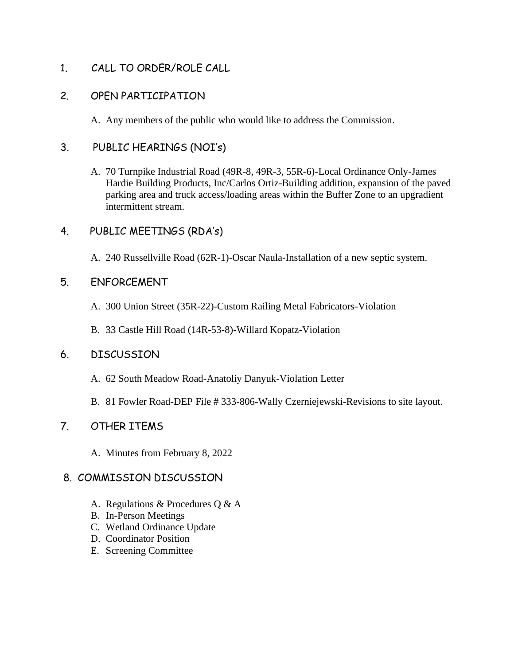1. CALL TO ORDER/ROLE CALL

### 2. OPEN PARTICIPATION

A. Any members of the public who would like to address the Commission.

## 3. PUBLIC HEARINGS (NOI's)

A. 70 Turnpike Industrial Road (49R-8, 49R-3, 55R-6)-Local Ordinance Only-James Hardie Building Products, Inc/Carlos Ortiz-Building addition, expansion of the paved parking area and truck access/loading areas within the Buffer Zone to an upgradient intermittent stream.

## 4. PUBLIC MEETINGS (RDA's)

A. 240 Russellville Road (62R-1)-Oscar Naula-Installation of a new septic system.

## 5. ENFORCEMENT

- A. 300 Union Street (35R-22)-Custom Railing Metal Fabricators-Violation
- B. 33 Castle Hill Road (14R-53-8)-Willard Kopatz-Violation

### 6. DISCUSSION

- A. 62 South Meadow Road-Anatoliy Danyuk-Violation Letter
- B. 81 Fowler Road-DEP File # 333-806-Wally Czerniejewski-Revisions to site layout.

# 7. OTHER ITEMS

A. Minutes from February 8, 2022

# 8. COMMISSION DISCUSSION

- A. Regulations & Procedures Q & A
- B. In-Person Meetings
- C. Wetland Ordinance Update
- D. Coordinator Position
- E. Screening Committee